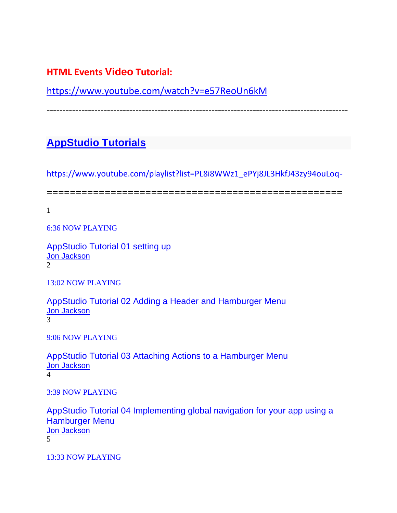## **HTML Events Video Tutorial:**

<https://www.youtube.com/watch?v=e57ReoUn6kM>

-----------------------------------------------------------------------------------------------

## **[AppStudio Tutorials](https://www.youtube.com/watch?v=n3TdsEfBjuI&list=PL8i8WWz1_ePYj8JL3HkfJ43zy94ouLoq-)**

[https://www.youtube.com/playlist?list=PL8i8WWz1\\_ePYj8JL3HkfJ43zy94ouLoq-](https://www.youtube.com/playlist?list=PL8i8WWz1_ePYj8JL3HkfJ43zy94ouLoq-)

===================================================

1

6:36 NOW [PLAYING](https://www.youtube.com/watch?v=n3TdsEfBjuI&list=PL8i8WWz1_ePYj8JL3HkfJ43zy94ouLoq-&index=1)

[AppStudio Tutorial 01 setting up](https://www.youtube.com/watch?v=n3TdsEfBjuI&list=PL8i8WWz1_ePYj8JL3HkfJ43zy94ouLoq-&index=1) [Jon Jackson](https://www.youtube.com/channel/UCAnmp2x5-Zn6Y7FzjDDm6XA)  $\mathfrak{D}$ 

13:02 NOW [PLAYING](https://www.youtube.com/watch?v=llgE3pa2Lw0&list=PL8i8WWz1_ePYj8JL3HkfJ43zy94ouLoq-&index=2)

[AppStudio Tutorial 02 Adding a Header and Hamburger Menu](https://www.youtube.com/watch?v=llgE3pa2Lw0&list=PL8i8WWz1_ePYj8JL3HkfJ43zy94ouLoq-&index=2) [Jon Jackson](https://www.youtube.com/channel/UCAnmp2x5-Zn6Y7FzjDDm6XA) 3

9:06 NOW [PLAYING](https://www.youtube.com/watch?v=mnD6bpbixis&list=PL8i8WWz1_ePYj8JL3HkfJ43zy94ouLoq-&index=3)

[AppStudio Tutorial 03 Attaching Actions to a Hamburger Menu](https://www.youtube.com/watch?v=mnD6bpbixis&list=PL8i8WWz1_ePYj8JL3HkfJ43zy94ouLoq-&index=3) **[Jon Jackson](https://www.youtube.com/channel/UCAnmp2x5-Zn6Y7FzjDDm6XA)** 4

3:39 NOW [PLAYING](https://www.youtube.com/watch?v=G9lAoCNY6Jc&list=PL8i8WWz1_ePYj8JL3HkfJ43zy94ouLoq-&index=4)

[AppStudio Tutorial 04 Implementing global navigation for your app using a](https://www.youtube.com/watch?v=G9lAoCNY6Jc&list=PL8i8WWz1_ePYj8JL3HkfJ43zy94ouLoq-&index=4)  [Hamburger Menu](https://www.youtube.com/watch?v=G9lAoCNY6Jc&list=PL8i8WWz1_ePYj8JL3HkfJ43zy94ouLoq-&index=4) [Jon Jackson](https://www.youtube.com/channel/UCAnmp2x5-Zn6Y7FzjDDm6XA) 5

13:33 NOW [PLAYING](https://www.youtube.com/watch?v=muabsiH7b8s&list=PL8i8WWz1_ePYj8JL3HkfJ43zy94ouLoq-&index=5)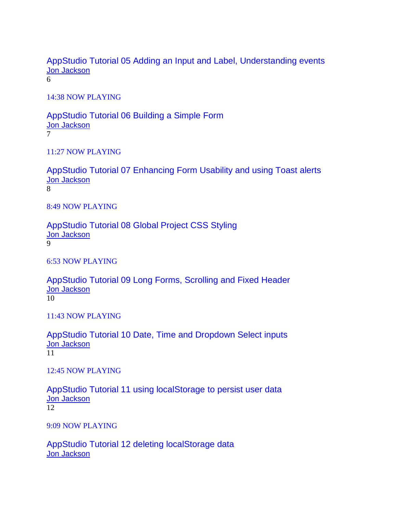[AppStudio Tutorial 05 Adding an Input and Label, Understanding events](https://www.youtube.com/watch?v=muabsiH7b8s&list=PL8i8WWz1_ePYj8JL3HkfJ43zy94ouLoq-&index=5) [Jon Jackson](https://www.youtube.com/channel/UCAnmp2x5-Zn6Y7FzjDDm6XA)

6

14:38 NOW [PLAYING](https://www.youtube.com/watch?v=D6hE0Lqq18o&list=PL8i8WWz1_ePYj8JL3HkfJ43zy94ouLoq-&index=6)

[AppStudio Tutorial 06 Building a Simple Form](https://www.youtube.com/watch?v=D6hE0Lqq18o&list=PL8i8WWz1_ePYj8JL3HkfJ43zy94ouLoq-&index=6) [Jon Jackson](https://www.youtube.com/channel/UCAnmp2x5-Zn6Y7FzjDDm6XA) [7](https://www.youtube.com/watch?v=Z4-2mYwpR-I&list=PL8i8WWz1_ePYj8JL3HkfJ43zy94ouLoq-&index=7)

11:27 NOW [PLAYING](https://www.youtube.com/watch?v=Z4-2mYwpR-I&list=PL8i8WWz1_ePYj8JL3HkfJ43zy94ouLoq-&index=7)

[AppStudio Tutorial 07 Enhancing Form Usability and using Toast alerts](https://www.youtube.com/watch?v=Z4-2mYwpR-I&list=PL8i8WWz1_ePYj8JL3HkfJ43zy94ouLoq-&index=7) [Jon Jackson](https://www.youtube.com/channel/UCAnmp2x5-Zn6Y7FzjDDm6XA) 8

8:49 NOW [PLAYING](https://www.youtube.com/watch?v=IucFrReHWUI&list=PL8i8WWz1_ePYj8JL3HkfJ43zy94ouLoq-&index=8)

[AppStudio Tutorial 08 Global Project CSS Styling](https://www.youtube.com/watch?v=IucFrReHWUI&list=PL8i8WWz1_ePYj8JL3HkfJ43zy94ouLoq-&index=8) [Jon Jackson](https://www.youtube.com/channel/UCAnmp2x5-Zn6Y7FzjDDm6XA)  $\overline{q}$ 

6:53 NOW [PLAYING](https://www.youtube.com/watch?v=vGHjtLyr13U&list=PL8i8WWz1_ePYj8JL3HkfJ43zy94ouLoq-&index=9)

[AppStudio Tutorial 09 Long Forms, Scrolling and Fixed Header](https://www.youtube.com/watch?v=vGHjtLyr13U&list=PL8i8WWz1_ePYj8JL3HkfJ43zy94ouLoq-&index=9) [Jon Jackson](https://www.youtube.com/channel/UCAnmp2x5-Zn6Y7FzjDDm6XA) 10

11:43 NOW [PLAYING](https://www.youtube.com/watch?v=O_DGcqF8QTA&list=PL8i8WWz1_ePYj8JL3HkfJ43zy94ouLoq-&index=10)

[AppStudio Tutorial 10 Date, Time and Dropdown Select inputs](https://www.youtube.com/watch?v=O_DGcqF8QTA&list=PL8i8WWz1_ePYj8JL3HkfJ43zy94ouLoq-&index=10) [Jon Jackson](https://www.youtube.com/channel/UCAnmp2x5-Zn6Y7FzjDDm6XA) 11

12:45 NOW [PLAYING](https://www.youtube.com/watch?v=43zv0DDZmEw&list=PL8i8WWz1_ePYj8JL3HkfJ43zy94ouLoq-&index=11)

[AppStudio Tutorial 11 using localStorage to persist user data](https://www.youtube.com/watch?v=43zv0DDZmEw&list=PL8i8WWz1_ePYj8JL3HkfJ43zy94ouLoq-&index=11) [Jon Jackson](https://www.youtube.com/channel/UCAnmp2x5-Zn6Y7FzjDDm6XA) 12

9:09 NOW [PLAYING](https://www.youtube.com/watch?v=W3l1QMr3GDQ&list=PL8i8WWz1_ePYj8JL3HkfJ43zy94ouLoq-&index=12)

[AppStudio Tutorial 12 deleting localStorage data](https://www.youtube.com/watch?v=W3l1QMr3GDQ&list=PL8i8WWz1_ePYj8JL3HkfJ43zy94ouLoq-&index=12) [Jon Jackson](https://www.youtube.com/channel/UCAnmp2x5-Zn6Y7FzjDDm6XA)